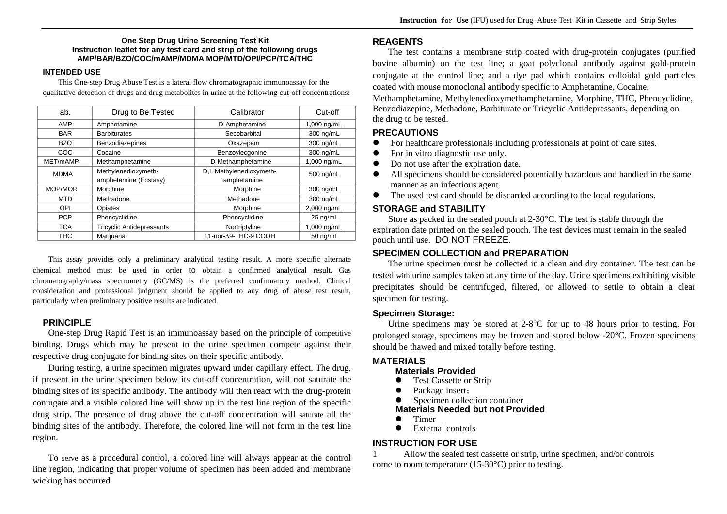#### **One Step Drug Urine Screening Test Kit Instruction leaflet for any test card and strip of the following drugs AMP/BAR/BZO/COC/mAMP/MDMA MOP/MTD/OPI/PCP/TCA/THC**

#### **INTENDED USE**

This One-step Drug Abuse Test is a lateral flow chromatographic immunoassay for the qualitative detection of drugs and drug metabolites in urine at the following cut-off concentrations:

| ab.         | Drug to Be Tested                | Calibrator              | Cut-off     |
|-------------|----------------------------------|-------------------------|-------------|
| AMP         | Amphetamine                      | D-Amphetamine           | 1,000 ng/mL |
| <b>BAR</b>  | <b>Barbiturates</b>              | Secobarbital            | 300 ng/mL   |
| <b>BZO</b>  | <b>Benzodiazepines</b>           | Oxazepam                | 300 ng/mL   |
| COC         | Cocaine                          | Benzoylecgonine         | 300 ng/mL   |
| MET/mAMP    | Methamphetamine                  | D-Methamphetamine       | 1,000 ng/mL |
| <b>MDMA</b> | Methylenedioxymeth-              | D,L Methylenedioxymeth- | 500 ng/mL   |
|             | amphetamine (Ecstasy)            | amphetamine             |             |
| MOP/MOR     | Morphine                         | Morphine                | 300 ng/mL   |
| <b>MTD</b>  | Methadone                        | Methadone               | 300 ng/mL   |
| OPI         | Opiates                          | Morphine                | 2,000 ng/mL |
| <b>PCP</b>  | Phencyclidine                    | Phencyclidine           | $25$ ng/mL  |
| <b>TCA</b>  | <b>Tricyclic Antidepressants</b> | Nortriptyline           | 1,000 ng/mL |
| <b>THC</b>  | Marijuana                        | 11-nor-A9-THC-9 COOH    | 50 ng/mL    |

This assay provides only a preliminary analytical testing result. A more specific alternate chemical method must be used in order to obtain a confirmed analytical result. Gas chromatography/mass spectrometry (GC/MS) is the preferred confirmatory method. Clinical consideration and professional judgment should be applied to any drug of abuse test result, particularly when preliminary positive results are indicated.

### **PRINCIPLE**

One-step Drug Rapid Test is an immunoassay based on the principle of competitive binding. Drugs which may be present in the urine specimen compete against their respective drug conjugate for binding sites on their specific antibody.

During testing, a urine specimen migrates upward under capillary effect. The drug, if present in the urine specimen below its cut-off concentration, will not saturate the binding sites of its specific antibody. The antibody will then react with the drug-protein conjugate and a visible colored line will show up in the test line region of the specific drug strip. The presence of drug above the cut-off concentration will saturate all the binding sites of the antibody. Therefore, the colored line will not form in the test line region.

To serve as a procedural control, a colored line will always appear at the control line region, indicating that proper volume of specimen has been added and membrane wicking has occurred.

### **REAGENTS**

The test contains a membrane strip coated with drug-protein conjugates (purified bovine albumin) on the test line; a goat polyclonal antibody against gold-protein conjugate at the control line; and a dye pad which contains colloidal gold particles coated with mouse monoclonal antibody specific to Amphetamine, Cocaine, Methamphetamine, Methylenedioxymethamphetamine, Morphine, THC, Phencyclidine, Benzodiazepine, Methadone, Barbiturate or Tricyclic Antidepressants, depending on the drug to be tested.

## **PRECAUTIONS**

- 0 For healthcare professionals including professionals at point of care sites.
- 0 For in vitro diagnostic use only.
- 0 Do not use after the expiration date.
- $\bullet$  All specimens should be considered potentially hazardous and handled in the same manner as an infectious agent.
- $\bullet$ The used test card should be discarded according to the local regulations.

### **STORAGE and STABILITY**

Store as packed in the sealed pouch at 2-30°C. The test is stable through the expiration date printed on the sealed pouch. The test devices must remain in the sealed pouch until use. DO NOT FREEZE.

### **SPECIMEN COLLECTION and PREPARATION**

The urine specimen must be collected in a clean and dry container. The test can be tested with urine samples taken at any time of the day. Urine specimens exhibiting visible precipitates should be centrifuged, filtered, or allowed to settle to obtain a clear specimen for testing.

### **Specimen Storage:**

Urine specimens may be stored at 2-8°C for up to 48 hours prior to testing. For prolonged storage, specimens may be frozen and stored below -20°C. Frozen specimens should be thawed and mixed totally before testing.

### **MATERIALS**

#### **Materials Provided**

- $\bullet$ Test Cassette or Strip
- $\bullet$ Package insert;
- $\bullet$ Specimen collection container

### **Materials Needed but not Provided**

- $\bullet$ Timer
- $\bullet$ External controls

### **INSTRUCTION FOR USE**

1 Allow the sealed test cassette or strip, urine specimen, and/or controls come to room temperature (15-30°C) prior to testing.